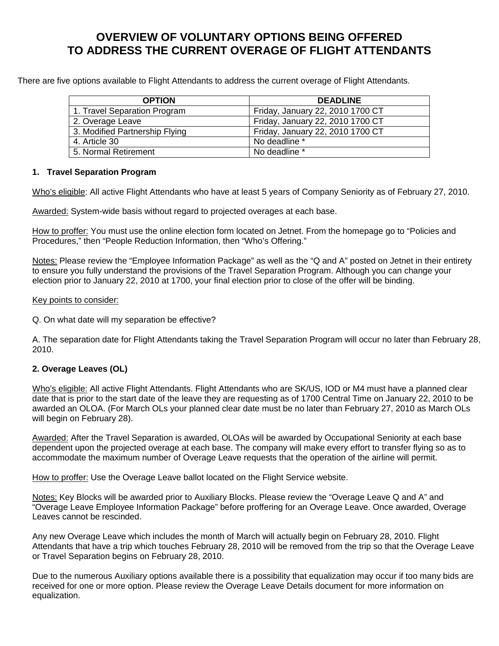# **OVERVIEW OF VOLUNTARY OPTIONS BEING OFFERED TO ADDRESS THE CURRENT OVERAGE OF FLIGHT ATTENDANTS**

There are five options available to Flight Attendants to address the current overage of Flight Attendants.

| <b>OPTION</b>                  | <b>DEADLINE</b>                  |
|--------------------------------|----------------------------------|
| 1. Travel Separation Program   | Friday, January 22, 2010 1700 CT |
| 2. Overage Leave               | Friday, January 22, 2010 1700 CT |
| 3. Modified Partnership Flying | Friday, January 22, 2010 1700 CT |
| 4. Article 30                  | No deadline *                    |
| 5. Normal Retirement           | No deadline *                    |

# **1. Travel Separation Program**

Who's eligible: All active Flight Attendants who have at least 5 years of Company Seniority as of February 27, 2010.

Awarded: System-wide basis without regard to projected overages at each base.

How to proffer: You must use the online election form located on Jetnet. From the homepage go to "Policies and Procedures," then "People Reduction Information, then "Who's Offering."

Notes: Please review the "Employee Information Package" as well as the "Q and A" posted on Jetnet in their entirety to ensure you fully understand the provisions of the Travel Separation Program. Although you can change your election prior to January 22, 2010 at 1700, your final election prior to close of the offer will be binding.

#### Key points to consider:

Q. On what date will my separation be effective?

A. The separation date for Flight Attendants taking the Travel Separation Program will occur no later than February 28, 2010.

### **2. Overage Leaves (OL)**

Who's eligible: All active Flight Attendants. Flight Attendants who are SK/US, IOD or M4 must have a planned clear date that is prior to the start date of the leave they are requesting as of 1700 Central Time on January 22, 2010 to be awarded an OLOA. (For March OLs your planned clear date must be no later than February 27, 2010 as March OLs will begin on February 28).

Awarded: After the Travel Separation is awarded, OLOAs will be awarded by Occupational Seniority at each base dependent upon the projected overage at each base. The company will make every effort to transfer flying so as to accommodate the maximum number of Overage Leave requests that the operation of the airline will permit.

How to proffer: Use the Overage Leave ballot located on the Flight Service website.

Notes: Key Blocks will be awarded prior to Auxiliary Blocks. Please review the "Overage Leave Q and A" and "Overage Leave Employee Information Package" before proffering for an Overage Leave. Once awarded, Overage Leaves cannot be rescinded.

Any new Overage Leave which includes the month of March will actually begin on February 28, 2010. Flight Attendants that have a trip which touches February 28, 2010 will be removed from the trip so that the Overage Leave or Travel Separation begins on February 28, 2010.

Due to the numerous Auxiliary options available there is a possibility that equalization may occur if too many bids are received for one or more option. Please review the Overage Leave Details document for more information on equalization.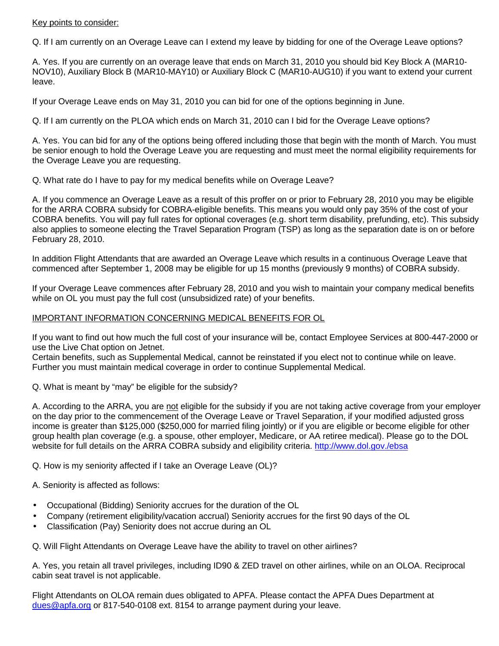## Key points to consider:

Q. If I am currently on an Overage Leave can I extend my leave by bidding for one of the Overage Leave options?

A. Yes. If you are currently on an overage leave that ends on March 31, 2010 you should bid Key Block A (MAR10- NOV10), Auxiliary Block B (MAR10-MAY10) or Auxiliary Block C (MAR10-AUG10) if you want to extend your current leave.

If your Overage Leave ends on May 31, 2010 you can bid for one of the options beginning in June.

Q. If I am currently on the PLOA which ends on March 31, 2010 can I bid for the Overage Leave options?

A. Yes. You can bid for any of the options being offered including those that begin with the month of March. You must be senior enough to hold the Overage Leave you are requesting and must meet the normal eligibility requirements for the Overage Leave you are requesting.

Q. What rate do I have to pay for my medical benefits while on Overage Leave?

A. If you commence an Overage Leave as a result of this proffer on or prior to February 28, 2010 you may be eligible for the ARRA COBRA subsidy for COBRA-eligible benefits. This means you would only pay 35% of the cost of your COBRA benefits. You will pay full rates for optional coverages (e.g. short term disability, prefunding, etc). This subsidy also applies to someone electing the Travel Separation Program (TSP) as long as the separation date is on or before February 28, 2010.

In addition Flight Attendants that are awarded an Overage Leave which results in a continuous Overage Leave that commenced after September 1, 2008 may be eligible for up 15 months (previously 9 months) of COBRA subsidy.

If your Overage Leave commences after February 28, 2010 and you wish to maintain your company medical benefits while on OL you must pay the full cost (unsubsidized rate) of your benefits.

### IMPORTANT INFORMATION CONCERNING MEDICAL BENEFITS FOR OL

If you want to find out how much the full cost of your insurance will be, contact Employee Services at 800-447-2000 or use the Live Chat option on Jetnet.

Certain benefits, such as Supplemental Medical, cannot be reinstated if you elect not to continue while on leave. Further you must maintain medical coverage in order to continue Supplemental Medical.

Q. What is meant by "may" be eligible for the subsidy?

A. According to the ARRA, you are not eligible for the subsidy if you are not taking active coverage from your employer on the day prior to the commencement of the Overage Leave or Travel Separation, if your modified adjusted gross income is greater than \$125,000 (\$250,000 for married filing jointly) or if you are eligible or become eligible for other group health plan coverage (e.g. a spouse, other employer, Medicare, or AA retiree medical). Please go to the DOL website for full details on the ARRA COBRA subsidy and eligibility criteria. http://www.dol.gov./ebsa

Q. How is my seniority affected if I take an Overage Leave (OL)?

A. Seniority is affected as follows:

- Occupational (Bidding) Seniority accrues for the duration of the OL
- Company (retirement eligibility/vacation accrual) Seniority accrues for the first 90 days of the OL
- Classification (Pay) Seniority does not accrue during an OL

Q. Will Flight Attendants on Overage Leave have the ability to travel on other airlines?

A. Yes, you retain all travel privileges, including ID90 & ZED travel on other airlines, while on an OLOA. Reciprocal cabin seat travel is not applicable.

Flight Attendants on OLOA remain dues obligated to APFA. Please contact the APFA Dues Department at dues@apfa.org or 817-540-0108 ext. 8154 to arrange payment during your leave.